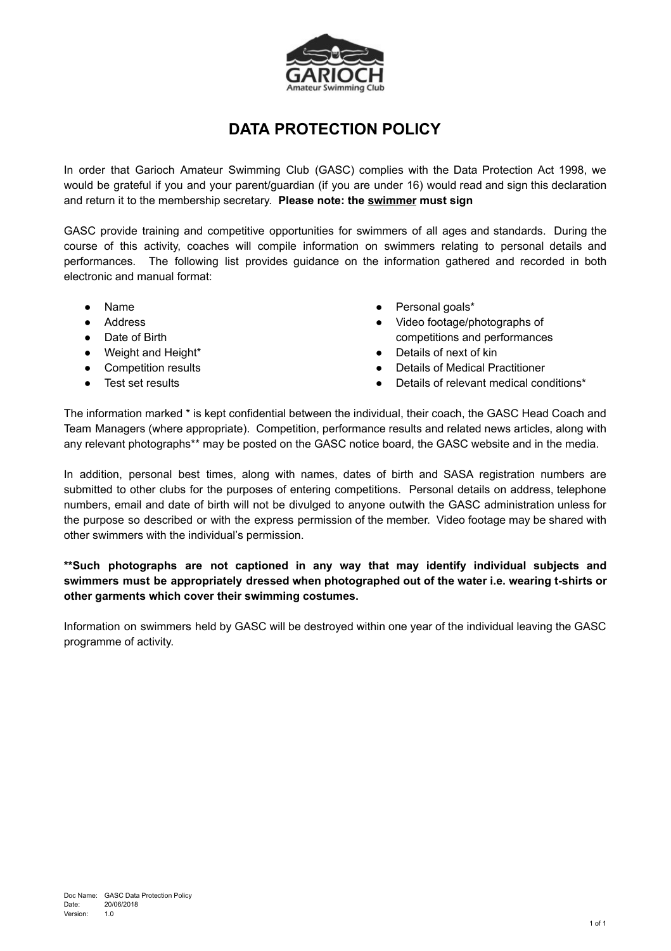

## **DATA PROTECTION POLICY**

In order that Garioch Amateur Swimming Club (GASC) complies with the Data Protection Act 1998, we would be grateful if you and your parent/guardian (if you are under 16) would read and sign this declaration and return it to the membership secretary. **Please note: the swimmer must sign**

GASC provide training and competitive opportunities for swimmers of all ages and standards. During the course of this activity, coaches will compile information on swimmers relating to personal details and performances. The following list provides guidance on the information gathered and recorded in both electronic and manual format:

- **Name**
- Address
- Date of Birth
- Weight and Height\*
- Competition results
- Test set results
- Personal goals\*
- Video footage/photographs of competitions and performances
- Details of next of kin
- **Details of Medical Practitioner**
- Details of relevant medical conditions\*

The information marked \* is kept confidential between the individual, their coach, the GASC Head Coach and Team Managers (where appropriate). Competition, performance results and related news articles, along with any relevant photographs\*\* may be posted on the GASC notice board, the GASC website and in the media.

In addition, personal best times, along with names, dates of birth and SASA registration numbers are submitted to other clubs for the purposes of entering competitions. Personal details on address, telephone numbers, email and date of birth will not be divulged to anyone outwith the GASC administration unless for the purpose so described or with the express permission of the member. Video footage may be shared with other swimmers with the individual's permission.

## **\*\*Such photographs are not captioned in any way that may identify individual subjects and swimmers must be appropriately dressed when photographed out of the water i.e. wearing t-shirts or other garments which cover their swimming costumes.**

Information on swimmers held by GASC will be destroyed within one year of the individual leaving the GASC programme of activity.